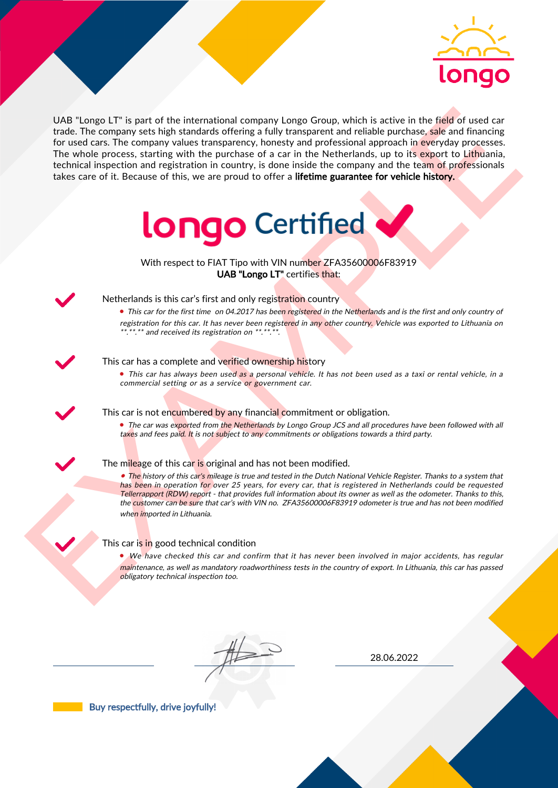

UAS "Lange LIT" is part of the interactional company longe Group, which is active in the field of used car<br>for the field of the control and the interaction between the particles are proposed in the Methodian distribution UAB "Longo LT" is part of the international company Longo Group, which is active in the field of used car trade. The company sets high standards offering a fully transparent and reliable purchase, sale and financing for used cars. The company values transparency, honesty and professional approach in everyday processes. The whole process, starting with the purchase of a car in the Netherlands, up to its export to Lithuania, technical inspection and registration in country, is done inside the company and the team of professionals takes care of it. Because of this, we are proud to offer a lifetime guarantee for vehicle history.



With respect to FIAT Tipo with VIN number ZFA35600006F83919 UAB "Longo LT" certifies that:



## Netherlands is this car's first and only registration country

• This car for the first time on 04.2017 has been registered in the Netherlands and is the first and only country of registration for this car. It has never been registered in any other country. Vehicle was exported to Lithuania on \*.\*\*.\*\* and received its registration on \*\*.\*\*.\*\*.

### This car has a complete and verified ownership history

• This car has always been used as a personal vehicle. It has not been used as a taxi or rental vehicle, in a commercial setting or as a service or government car.

This car is not encumbered by any financial commitment or obligation.

• The car was exported from the Netherlands by Longo Group JCS and all procedures have been followed with all taxes and fees paid. It is not subject to any commitments or obligations towards a third party.

### The mileage of this car is original and has not been modified.

• The history of this car's mileage is true and tested in the Dutch National Vehicle Register. Thanks to a system that has been in operation for over 25 years, for every car, that is registered in Netherlands could be requested Tellerrapport (RDW) report - that provides full information about its owner as well as the odometer. Thanks to this, the customer can be sure that car's with VIN no. ZFA35600006F83919 odometer is true and has not been modified whe<mark>n im</mark>ported in Lithuania.

### This car is in good technical condition

• We have checked this car and confirm that it has never been involved in major accidents, has regular maintenance, as well as mandatory roadworthiness tests in the country of export. In Lithuania, this car has passed obligatory technical inspection too.

28.06.2022

Buy respectfully, drive joyfully!